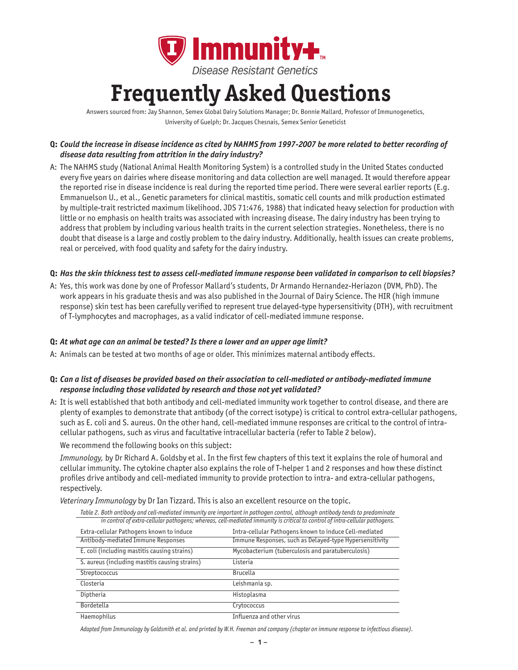

# **Frequently Asked Questions**

Answers sourced from: Jay Shannon, Semex Global Dairy Solutions Manager; Dr. Bonnie Mallard, Professor of Immunogenetics, University of Guelph; Dr. Jacques Chesnais, Semex Senior Geneticist

# Q: Could the increase in disease incidence as cited by NAHMS from 1997-2007 be more related to better recording of *disease data resulting from attrition in the dairy industry?*

A: The NAHMS study (National Animal Health Monitoring System) is a controlled study in the United States conducted every five years on dairies where disease monitoring and data collection are well managed. It would therefore appear the reported rise in disease incidence is real during the reported time period. There were several earlier reports (E.g. Emmanuelson U., et al., Genetic parameters for clinical mastitis, somatic cell counts and milk production estimated by multiple-trait restricted maximum likelihood. JDS 71:476, 1988) that indicated heavy selection for production with little or no emphasis on health traits was associated with increasing disease. The dairy industry has been trying to address that problem by including various health traits in the current selection strategies. Nonetheless, there is no doubt that disease is a large and costly problem to the dairy industry. Additionally, health issues can create problems, real or perceived, with food quality and safety for the dairy industry.

#### Q: Has the skin thickness test to assess cell-mediated immune response been validated in comparison to cell biopsies?

A: Yes, this work was done by one of Professor Mallard's students, Dr Armando Hernandez-Heriazon (DVM, PhD). The work appears in his graduate thesis and was also published in the Journal of Dairy Science. The HIR (high immune response) skin test has been carefully verified to represent true delayed-type hypersensitivity (DTH), with recruitment of T-lymphocytes and macrophages, as a valid indicator of cell-mediated immune response.

#### **Q:** *At what age can an animal be tested? Is there a lower and an upper age limit?*

A: Animals can be tested at two months of age or older. This minimizes maternal antibody effects.

#### Q: Can a list of diseases be provided based on their association to cell-mediated or antibody-mediated immune *response including those validated by research and those not yet validated?*

A: It is well established that both antibody and cell-mediated immunity work together to control disease, and there are plenty of examples to demonstrate that antibody (of the correct isotype) is critical to control extra-cellular pathogens, such as E. coli and S. aureus. On the other hand, cell-mediated immune responses are critical to the control of intracellular pathogens, such as virus and facultative intracellular bacteria (refer to Table 2 below).

We recommend the following books on this subject:

*Immunology,* by Dr Richard A. Goldsby et al. In the first few chapters of this text it explains the role of humoral and cellular immunity. The cytokine chapter also explains the role of T-helper 1 and 2 responses and how these distinct profiles drive antibody and cell-mediated immunity to provide protection to intra- and extra-cellular pathogens, respectively.

*Veterinary Immunology* by Dr Ian Tizzard. This is also an excellent resource on the topic.

|  | Table 2. Both antibody and cell-mediated immunity are important in pathogen control, although antibody tends to predominate<br>in control of extra-cellular pathogens; whereas, cell-mediated immunity is critical to control of intra-cellular pathogens. |                                                         |
|--|------------------------------------------------------------------------------------------------------------------------------------------------------------------------------------------------------------------------------------------------------------|---------------------------------------------------------|
|  |                                                                                                                                                                                                                                                            |                                                         |
|  | Extra-cellular Pathogens known to induce                                                                                                                                                                                                                   | Intra-cellular Pathogens known to induce Cell-mediated  |
|  | Antibody-mediated Immune Responses                                                                                                                                                                                                                         | Immune Responses, such as Delayed-type Hypersensitivity |
|  | E. coli (including mastitis causing strains)                                                                                                                                                                                                               | Mycobacterium (tuberculosis and paratuberculosis)       |
|  | S. aureus (including mastitis causing strains)                                                                                                                                                                                                             | Listeria                                                |
|  | Streptococcus                                                                                                                                                                                                                                              | <b>Brucella</b>                                         |
|  | Closteria                                                                                                                                                                                                                                                  | Leishmania sp.                                          |
|  | Diptheria                                                                                                                                                                                                                                                  | Histoplasma                                             |
|  | Bordetella                                                                                                                                                                                                                                                 | Crytococcus                                             |
|  | Haemophilus                                                                                                                                                                                                                                                | Influenza and other virus                               |

Adapted from Immunology by Goldsmith et al. and printed by W.H. Freeman and company (chapter on immune response to infectious disease).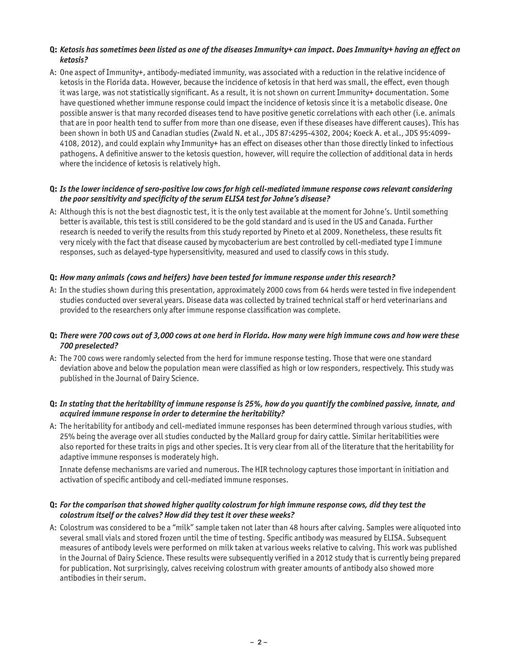## Q: Ketosis has sometimes been listed as one of the diseases Immunity+ can impact. Does Immunity+ having an effect on *ketosis?*

A: One aspect of Immunity+, antibody-mediated immunity, was associated with a reduction in the relative incidence of ketosis in the Florida data. However, because the incidence of ketosis in that herd was small, the effect, even though it was large, was not statistically significant. As a result, it is not shown on current Immunity+ documentation. Some have questioned whether immune response could impact the incidence of ketosis since it is a metabolic disease. One possible answer is that many recorded diseases tend to have positive genetic correlations with each other (i.e. animals that are in poor health tend to suffer from more than one disease, even if these diseases have different causes). This has been shown in both US and Canadian studies (Zwald N. et al., JDS 87:4295-4302, 2004; Koeck A. et al., JDS 95:4099- 4108, 2012), and could explain why Immunity+ has an effect on diseases other than those directly linked to infectious pathogens. A definitive answer to the ketosis question, however, will require the collection of additional data in herds where the incidence of ketosis is relatively high.

## Q: Is the lower incidence of sero-positive low cows for high cell-mediated immune response cows relevant considering *the poor sensitivity and specificity of the serum ELISA test for Johne's disease?*

A: Although this is not the best diagnostic test, it is the only test available at the moment for Johne's. Until something better is available, this test is still considered to be the gold standard and is used in the US and Canada. Further research is needed to verify the results from this study reported by Pineto et al 2009. Nonetheless, these results fit very nicely with the fact that disease caused by mycobacterium are best controlled by cell-mediated type I immune responses, such as delayed-type hypersensitivity, measured and used to classify cows in this study.

## **Q:** *How many animals (cows and heifers) have been tested for immune response under this research?*

A: In the studies shown during this presentation, approximately 2000 cows from 64 herds were tested in five independent studies conducted over several years. Disease data was collected by trained technical staff or herd veterinarians and provided to the researchers only after immune response classification was complete.

#### Q: There were 700 cows out of 3,000 cows at one herd in Florida. How many were high immune cows and how were these *700 preselected?*

A: The 700 cows were randomly selected from the herd for immune response testing. Those that were one standard deviation above and below the population mean were classified as high or low responders, respectively. This study was published in the Journal of Dairy Science.

## Q: In stating that the heritability of immune response is 25%, how do you quantify the combined passive, innate, and *acquired immune response in order to determine the heritability?*

A: The heritability for antibody and cell-mediated immune responses has been determined through various studies, with 25% being the average over all studies conducted by the Mallard group for dairy cattle. Similar heritabilities were also reported for these traits in pigs and other species. It is very clear from all of the literature that the heritability for adaptive immune responses is moderately high.

 Innate defense mechanisms are varied and numerous. The HIR technology captures those important in initiation and activation of specific antibody and cell-mediated immune responses.

#### Q: For the comparison that showed higher quality colostrum for high immune response cows, did they test the *colostrum itself or the calves? How did they test it over these weeks?*

A: Colostrum was considered to be a "milk" sample taken not later than 48 hours after calving. Samples were aliquoted into several small vials and stored frozen until the time of testing. Specific antibody was measured by ELISA. Subsequent measures of antibody levels were performed on milk taken at various weeks relative to calving. This work was published in the Journal of Dairy Science. These results were subsequently verified in a 2012 study that is currently being prepared for publication. Not surprisingly, calves receiving colostrum with greater amounts of antibody also showed more antibodies in their serum.